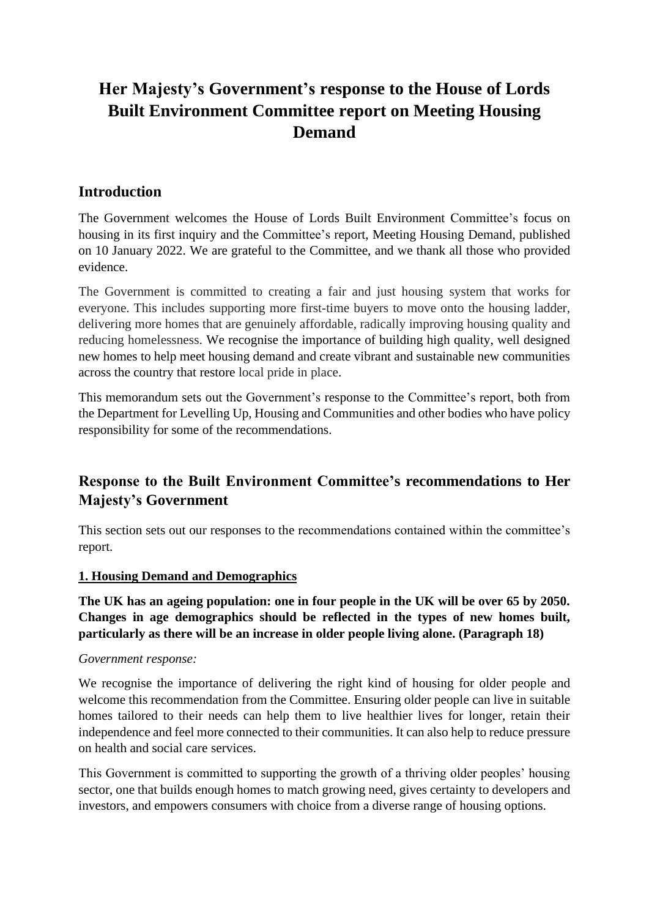# **Her Majesty's Government's response to the House of Lords Built Environment Committee report on Meeting Housing Demand**

# **Introduction**

The Government welcomes the House of Lords Built Environment Committee's focus on housing in its first inquiry and the Committee's report, Meeting Housing Demand, published on 10 January 2022. We are grateful to the Committee, and we thank all those who provided evidence.

The Government is committed to creating a fair and just housing system that works for everyone. This includes supporting more first-time buyers to move onto the housing ladder, delivering more homes that are genuinely affordable, radically improving housing quality and reducing homelessness. We recognise the importance of building high quality, well designed new homes to help meet housing demand and create vibrant and sustainable new communities across the country that restore local pride in place.

This memorandum sets out the Government's response to the Committee's report, both from the Department for Levelling Up, Housing and Communities and other bodies who have policy responsibility for some of the recommendations.

# **Response to the Built Environment Committee's recommendations to Her Majesty's Government**

This section sets out our responses to the recommendations contained within the committee's report.

## **1. Housing Demand and Demographics**

**The UK has an ageing population: one in four people in the UK will be over 65 by 2050. Changes in age demographics should be reflected in the types of new homes built, particularly as there will be an increase in older people living alone. (Paragraph 18)**

## *Government response:*

We recognise the importance of delivering the right kind of housing for older people and welcome this recommendation from the Committee. Ensuring older people can live in suitable homes tailored to their needs can help them to live healthier lives for longer, retain their independence and feel more connected to their communities. It can also help to reduce pressure on health and social care services.

This Government is committed to supporting the growth of a thriving older peoples' housing sector, one that builds enough homes to match growing need, gives certainty to developers and investors, and empowers consumers with choice from a diverse range of housing options.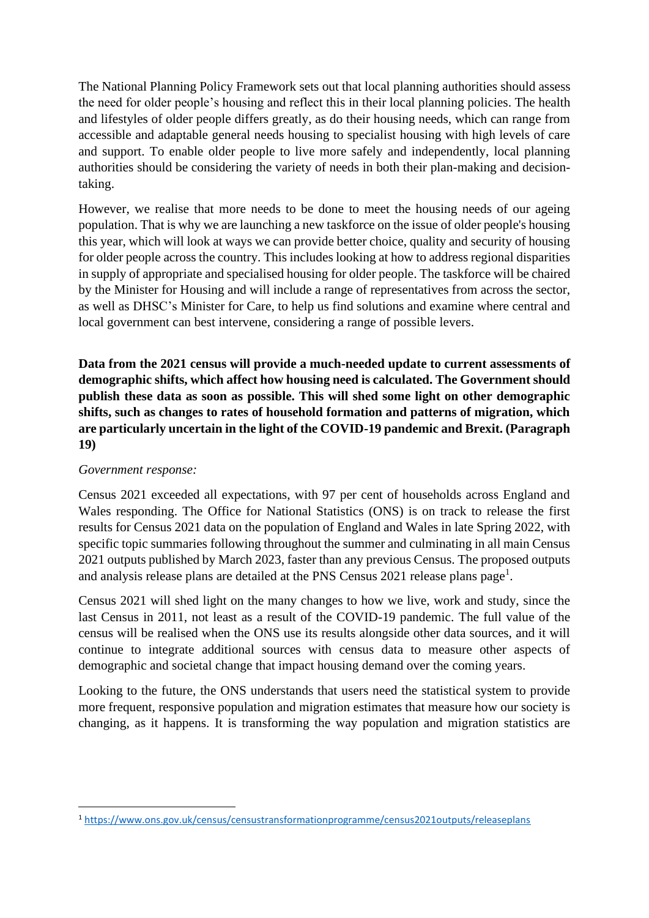The National Planning Policy Framework sets out that local planning authorities should assess the need for older people's housing and reflect this in their local planning policies. The health and lifestyles of older people differs greatly, as do their housing needs, which can range from accessible and adaptable general needs housing to specialist housing with high levels of care and support. To enable older people to live more safely and independently, local planning authorities should be considering the variety of needs in both their plan-making and decisiontaking.

However, we realise that more needs to be done to meet the housing needs of our ageing population. That is why we are launching a new taskforce on the issue of older people's housing this year, which will look at ways we can provide better choice, quality and security of housing for older people across the country. This includes looking at how to address regional disparities in supply of appropriate and specialised housing for older people. The taskforce will be chaired by the Minister for Housing and will include a range of representatives from across the sector, as well as DHSC's Minister for Care, to help us find solutions and examine where central and local government can best intervene, considering a range of possible levers.

**Data from the 2021 census will provide a much-needed update to current assessments of demographic shifts, which affect how housing need is calculated. The Government should publish these data as soon as possible. This will shed some light on other demographic shifts, such as changes to rates of household formation and patterns of migration, which are particularly uncertain in the light of the COVID-19 pandemic and Brexit. (Paragraph 19)**

## *Government response:*

Census 2021 exceeded all expectations, with 97 per cent of households across England and Wales responding. The Office for National Statistics (ONS) is on track to release the first results for Census 2021 data on the population of England and Wales in late Spring 2022, with specific topic summaries following throughout the summer and culminating in all main Census 2021 outputs published by March 2023, faster than any previous Census. The proposed outputs and analysis release plans are detailed at the PNS Census  $2021$  release plans page<sup>1</sup>.

Census 2021 will shed light on the many changes to how we live, work and study, since the last Census in 2011, not least as a result of the COVID-19 pandemic. The full value of the census will be realised when the ONS use its results alongside other data sources, and it will continue to integrate additional sources with census data to measure other aspects of demographic and societal change that impact housing demand over the coming years.

Looking to the future, the ONS understands that users need the statistical system to provide more frequent, responsive population and migration estimates that measure how our society is changing, as it happens. It is transforming the way population and migration statistics are

<sup>1</sup> <https://www.ons.gov.uk/census/censustransformationprogramme/census2021outputs/releaseplans>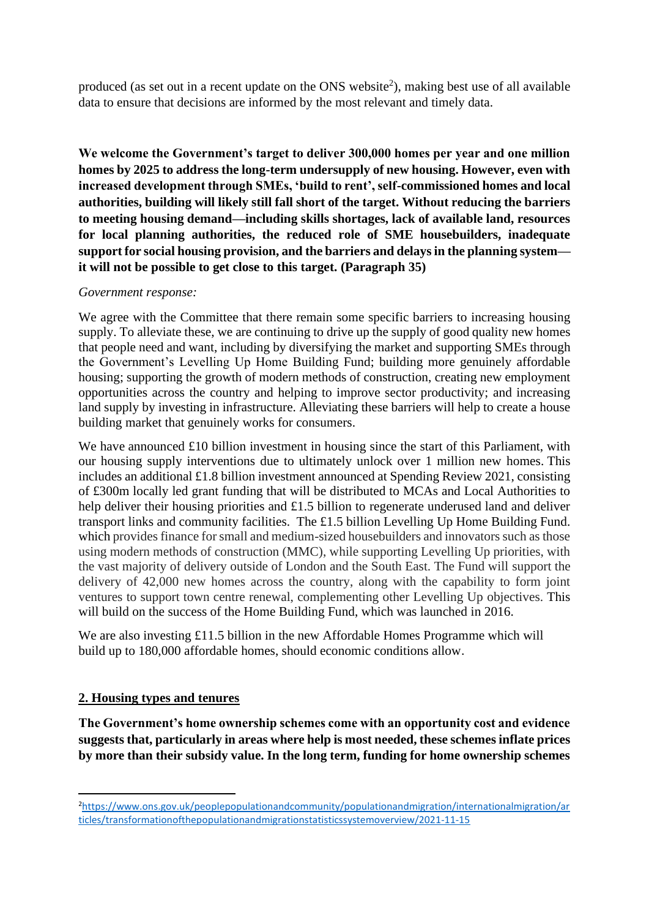produced (as set out in a recent update on the ONS website<sup>2</sup>), making best use of all available data to ensure that decisions are informed by the most relevant and timely data.

**We welcome the Government's target to deliver 300,000 homes per year and one million homes by 2025 to address the long-term undersupply of new housing. However, even with increased development through SMEs, 'build to rent', self-commissioned homes and local authorities, building will likely still fall short of the target. Without reducing the barriers to meeting housing demand—including skills shortages, lack of available land, resources for local planning authorities, the reduced role of SME housebuilders, inadequate support for social housing provision, and the barriers and delays in the planning system it will not be possible to get close to this target. (Paragraph 35)**

#### *Government response:*

We agree with the Committee that there remain some specific barriers to increasing housing supply. To alleviate these, we are continuing to drive up the supply of good quality new homes that people need and want, including by diversifying the market and supporting SMEs through the Government's Levelling Up Home Building Fund; building more genuinely affordable housing; supporting the growth of modern methods of construction, creating new employment opportunities across the country and helping to improve sector productivity; and increasing land supply by investing in infrastructure. Alleviating these barriers will help to create a house building market that genuinely works for consumers.

We have announced £10 billion investment in housing since the start of this Parliament, with our housing supply interventions due to ultimately unlock over 1 million new homes. This includes an additional £1.8 billion investment announced at Spending Review 2021, consisting of £300m locally led grant funding that will be distributed to MCAs and Local Authorities to help deliver their housing priorities and £1.5 billion to regenerate underused land and deliver transport links and community facilities. The £1.5 billion Levelling Up Home Building Fund. which provides finance for small and medium-sized housebuilders and innovators such as those using modern methods of construction (MMC), while supporting Levelling Up priorities, with the vast majority of delivery outside of London and the South East. The Fund will support the delivery of 42,000 new homes across the country, along with the capability to form joint ventures to support town centre renewal, complementing other Levelling Up objectives. This will build on the success of the Home Building Fund, which was launched in 2016.

We are also investing £11.5 billion in the new Affordable Homes Programme which will build up to 180,000 affordable homes, should economic conditions allow.

## **2. Housing types and tenures**

**The Government's home ownership schemes come with an opportunity cost and evidence suggests that, particularly in areas where help is most needed, these schemes inflate prices by more than their subsidy value. In the long term, funding for home ownership schemes** 

<sup>2</sup>[https://www.ons.gov.uk/peoplepopulationandcommunity/populationandmigration/internationalmigration/ar](https://www.ons.gov.uk/peoplepopulationandcommunity/populationandmigration/internationalmigration/articles/transformationofthepopulationandmigrationstatisticssystemoverview/2021-11-15) [ticles/transformationofthepopulationandmigrationstatisticssystemoverview/2021-11-15](https://www.ons.gov.uk/peoplepopulationandcommunity/populationandmigration/internationalmigration/articles/transformationofthepopulationandmigrationstatisticssystemoverview/2021-11-15)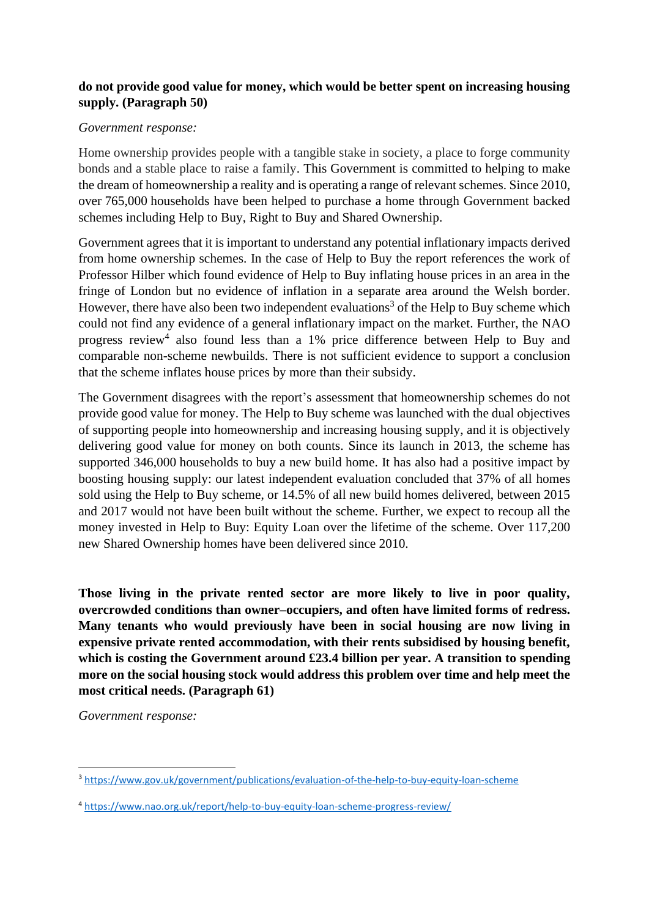# **do not provide good value for money, which would be better spent on increasing housing supply. (Paragraph 50)**

#### *Government response:*

Home ownership provides people with a tangible stake in society, a place to forge community bonds and a stable place to raise a family. This Government is committed to helping to make the dream of homeownership a reality and is operating a range of relevant schemes. Since 2010, over 765,000 households have been helped to purchase a home through Government backed schemes including Help to Buy, Right to Buy and Shared Ownership.

Government agrees that it is important to understand any potential inflationary impacts derived from home ownership schemes. In the case of Help to Buy the report references the work of Professor Hilber which found evidence of Help to Buy inflating house prices in an area in the fringe of London but no evidence of inflation in a separate area around the Welsh border. However, there have also been two independent evaluations<sup>3</sup> of the Help to Buy scheme which could not find any evidence of a general inflationary impact on the market. Further, the NAO progress review<sup>4</sup> also found less than a 1% price difference between Help to Buy and comparable non-scheme newbuilds. There is not sufficient evidence to support a conclusion that the scheme inflates house prices by more than their subsidy.

The Government disagrees with the report's assessment that homeownership schemes do not provide good value for money. The Help to Buy scheme was launched with the dual objectives of supporting people into homeownership and increasing housing supply, and it is objectively delivering good value for money on both counts. Since its launch in 2013, the scheme has supported 346,000 households to buy a new build home. It has also had a positive impact by boosting housing supply: our latest independent evaluation concluded that 37% of all homes sold using the Help to Buy scheme, or 14.5% of all new build homes delivered, between 2015 and 2017 would not have been built without the scheme. Further, we expect to recoup all the money invested in Help to Buy: Equity Loan over the lifetime of the scheme. Over 117,200 new Shared Ownership homes have been delivered since 2010.

**Those living in the private rented sector are more likely to live in poor quality, overcrowded conditions than owner–occupiers, and often have limited forms of redress. Many tenants who would previously have been in social housing are now living in expensive private rented accommodation, with their rents subsidised by housing benefit, which is costing the Government around £23.4 billion per year. A transition to spending more on the social housing stock would address this problem over time and help meet the most critical needs. (Paragraph 61)**

*Government response:* 

<sup>3</sup> <https://www.gov.uk/government/publications/evaluation-of-the-help-to-buy-equity-loan-scheme>

<sup>4</sup> <https://www.nao.org.uk/report/help-to-buy-equity-loan-scheme-progress-review/>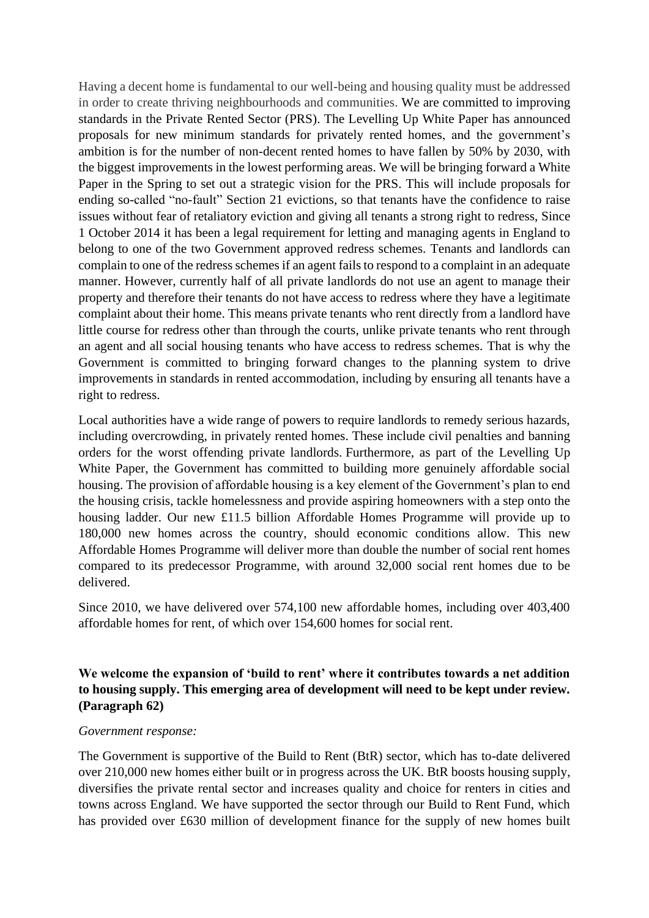Having a decent home is fundamental to our well-being and housing quality must be addressed in order to create thriving neighbourhoods and communities. We are committed to improving standards in the Private Rented Sector (PRS). The Levelling Up White Paper has announced proposals for new minimum standards for privately rented homes, and the government's ambition is for the number of non-decent rented homes to have fallen by 50% by 2030, with the biggest improvements in the lowest performing areas. We will be bringing forward a White Paper in the Spring to set out a strategic vision for the PRS. This will include proposals for ending so-called "no-fault" Section 21 evictions, so that tenants have the confidence to raise issues without fear of retaliatory eviction and giving all tenants a strong right to redress, Since 1 October 2014 it has been a legal requirement for letting and managing agents in England to belong to one of the two Government approved redress schemes. Tenants and landlords can complain to one of the redress schemes if an agent fails to respond to a complaint in an adequate manner. However, currently half of all private landlords do not use an agent to manage their property and therefore their tenants do not have access to redress where they have a legitimate complaint about their home. This means private tenants who rent directly from a landlord have little course for redress other than through the courts, unlike private tenants who rent through an agent and all social housing tenants who have access to redress schemes. That is why the Government is committed to bringing forward changes to the planning system to drive improvements in standards in rented accommodation, including by ensuring all tenants have a right to redress.

Local authorities have a wide range of powers to require landlords to remedy serious hazards, including overcrowding, in privately rented homes. These include civil penalties and banning orders for the worst offending private landlords. Furthermore, as part of the Levelling Up White Paper, the Government has committed to building more genuinely affordable social housing. The provision of affordable housing is a key element of the Government's plan to end the housing crisis, tackle homelessness and provide aspiring homeowners with a step onto the housing ladder. Our new £11.5 billion Affordable Homes Programme will provide up to 180,000 new homes across the country, should economic conditions allow. This new Affordable Homes Programme will deliver more than double the number of social rent homes compared to its predecessor Programme, with around 32,000 social rent homes due to be delivered.

Since 2010, we have delivered over 574,100 new affordable homes, including over 403,400 affordable homes for rent, of which over 154,600 homes for social rent.

# **We welcome the expansion of 'build to rent' where it contributes towards a net addition to housing supply. This emerging area of development will need to be kept under review. (Paragraph 62)**

#### *Government response:*

The Government is supportive of the Build to Rent (BtR) sector, which has to-date delivered over 210,000 new homes either built or in progress across the UK. BtR boosts housing supply, diversifies the private rental sector and increases quality and choice for renters in cities and towns across England. We have supported the sector through our Build to Rent Fund, which has provided over £630 million of development finance for the supply of new homes built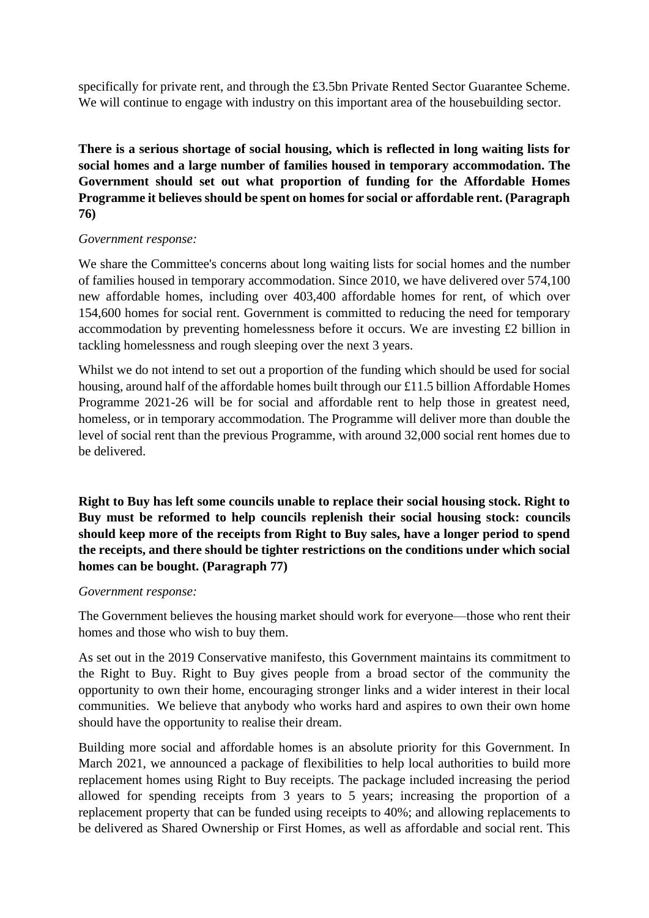specifically for private rent, and through the £3.5bn Private Rented Sector Guarantee Scheme. We will continue to engage with industry on this important area of the housebuilding sector.

**There is a serious shortage of social housing, which is reflected in long waiting lists for social homes and a large number of families housed in temporary accommodation. The Government should set out what proportion of funding for the Affordable Homes Programme it believes should be spent on homes for social or affordable rent. (Paragraph 76)**

### *Government response:*

We share the Committee's concerns about long waiting lists for social homes and the number of families housed in temporary accommodation. Since 2010, we have delivered over 574,100 new affordable homes, including over 403,400 affordable homes for rent, of which over 154,600 homes for social rent. Government is committed to reducing the need for temporary accommodation by preventing homelessness before it occurs. We are investing £2 billion in tackling homelessness and rough sleeping over the next 3 years.

Whilst we do not intend to set out a proportion of the funding which should be used for social housing, around half of the affordable homes built through our £11.5 billion Affordable Homes Programme 2021-26 will be for social and affordable rent to help those in greatest need, homeless, or in temporary accommodation. The Programme will deliver more than double the level of social rent than the previous Programme, with around 32,000 social rent homes due to be delivered.

**Right to Buy has left some councils unable to replace their social housing stock. Right to Buy must be reformed to help councils replenish their social housing stock: councils should keep more of the receipts from Right to Buy sales, have a longer period to spend the receipts, and there should be tighter restrictions on the conditions under which social homes can be bought. (Paragraph 77)**

#### *Government response:*

The Government believes the housing market should work for everyone—those who rent their homes and those who wish to buy them.

As set out in the 2019 Conservative manifesto, this Government maintains its commitment to the Right to Buy. Right to Buy gives people from a broad sector of the community the opportunity to own their home, encouraging stronger links and a wider interest in their local communities. We believe that anybody who works hard and aspires to own their own home should have the opportunity to realise their dream.

Building more social and affordable homes is an absolute priority for this Government. In March 2021, we announced a package of flexibilities to help local authorities to build more replacement homes using Right to Buy receipts. The package included increasing the period allowed for spending receipts from 3 years to 5 years; increasing the proportion of a replacement property that can be funded using receipts to 40%; and allowing replacements to be delivered as Shared Ownership or First Homes, as well as affordable and social rent. This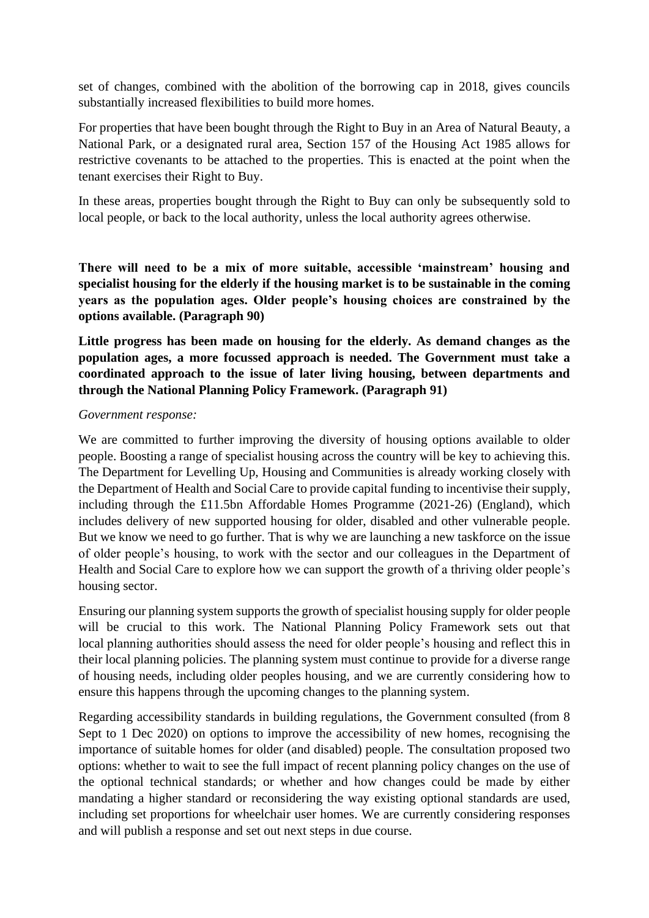set of changes, combined with the abolition of the borrowing cap in 2018, gives councils substantially increased flexibilities to build more homes.

For properties that have been bought through the Right to Buy in an Area of Natural Beauty, a National Park, or a designated rural area, Section 157 of the Housing Act 1985 allows for restrictive covenants to be attached to the properties. This is enacted at the point when the tenant exercises their Right to Buy.

In these areas, properties bought through the Right to Buy can only be subsequently sold to local people, or back to the local authority, unless the local authority agrees otherwise.

**There will need to be a mix of more suitable, accessible 'mainstream' housing and specialist housing for the elderly if the housing market is to be sustainable in the coming years as the population ages. Older people's housing choices are constrained by the options available. (Paragraph 90)**

**Little progress has been made on housing for the elderly. As demand changes as the population ages, a more focussed approach is needed. The Government must take a coordinated approach to the issue of later living housing, between departments and through the National Planning Policy Framework. (Paragraph 91)**

#### *Government response:*

We are committed to further improving the diversity of housing options available to older people. Boosting a range of specialist housing across the country will be key to achieving this. The Department for Levelling Up, Housing and Communities is already working closely with the Department of Health and Social Care to provide capital funding to incentivise their supply, including through the £11.5bn Affordable Homes Programme (2021-26) (England), which includes delivery of new supported housing for older, disabled and other vulnerable people. But we know we need to go further. That is why we are launching a new taskforce on the issue of older people's housing, to work with the sector and our colleagues in the Department of Health and Social Care to explore how we can support the growth of a thriving older people's housing sector.

Ensuring our planning system supports the growth of specialist housing supply for older people will be crucial to this work. The National Planning Policy Framework sets out that local planning authorities should assess the need for older people's housing and reflect this in their local planning policies. The planning system must continue to provide for a diverse range of housing needs, including older peoples housing, and we are currently considering how to ensure this happens through the upcoming changes to the planning system.

Regarding accessibility standards in building regulations, the Government consulted (from 8 Sept to 1 Dec 2020) on options to improve the accessibility of new homes, recognising the importance of suitable homes for older (and disabled) people. The consultation proposed two options: whether to wait to see the full impact of recent planning policy changes on the use of the optional technical standards; or whether and how changes could be made by either mandating a higher standard or reconsidering the way existing optional standards are used, including set proportions for wheelchair user homes. We are currently considering responses and will publish a response and set out next steps in due course.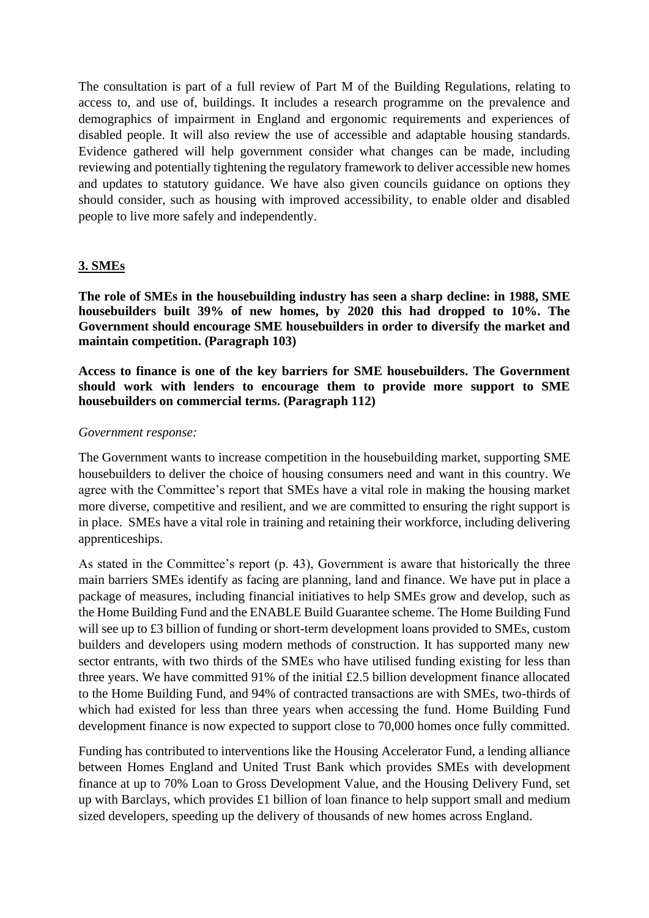The consultation is part of a full review of Part M of the Building Regulations, relating to access to, and use of, buildings. It includes a research programme on the prevalence and demographics of impairment in England and ergonomic requirements and experiences of disabled people. It will also review the use of accessible and adaptable housing standards. Evidence gathered will help government consider what changes can be made, including reviewing and potentially tightening the regulatory framework to deliver accessible new homes and updates to statutory guidance. We have also given councils guidance on options they should consider, such as housing with improved accessibility, to enable older and disabled people to live more safely and independently.

#### **3. SMEs**

**The role of SMEs in the housebuilding industry has seen a sharp decline: in 1988, SME housebuilders built 39% of new homes, by 2020 this had dropped to 10%. The Government should encourage SME housebuilders in order to diversify the market and maintain competition. (Paragraph 103)**

**Access to finance is one of the key barriers for SME housebuilders. The Government should work with lenders to encourage them to provide more support to SME housebuilders on commercial terms. (Paragraph 112)**

#### *Government response:*

The Government wants to increase competition in the housebuilding market, supporting SME housebuilders to deliver the choice of housing consumers need and want in this country. We agree with the Committee's report that SMEs have a vital role in making the housing market more diverse, competitive and resilient, and we are committed to ensuring the right support is in place. SMEs have a vital role in training and retaining their workforce, including delivering apprenticeships.

As stated in the Committee's report (p. 43), Government is aware that historically the three main barriers SMEs identify as facing are planning, land and finance. We have put in place a package of measures, including financial initiatives to help SMEs grow and develop, such as the Home Building Fund and the ENABLE Build Guarantee scheme. The Home Building Fund will see up to £3 billion of funding or short-term development loans provided to SMEs, custom builders and developers using modern methods of construction. It has supported many new sector entrants, with two thirds of the SMEs who have utilised funding existing for less than three years. We have committed 91% of the initial £2.5 billion development finance allocated to the Home Building Fund, and 94% of contracted transactions are with SMEs, two-thirds of which had existed for less than three years when accessing the fund. Home Building Fund development finance is now expected to support close to 70,000 homes once fully committed.

Funding has contributed to interventions like the Housing Accelerator Fund, a lending alliance between Homes England and United Trust Bank which provides SMEs with development finance at up to 70% Loan to Gross Development Value, and the Housing Delivery Fund, set up with Barclays, which provides £1 billion of loan finance to help support small and medium sized developers, speeding up the delivery of thousands of new homes across England.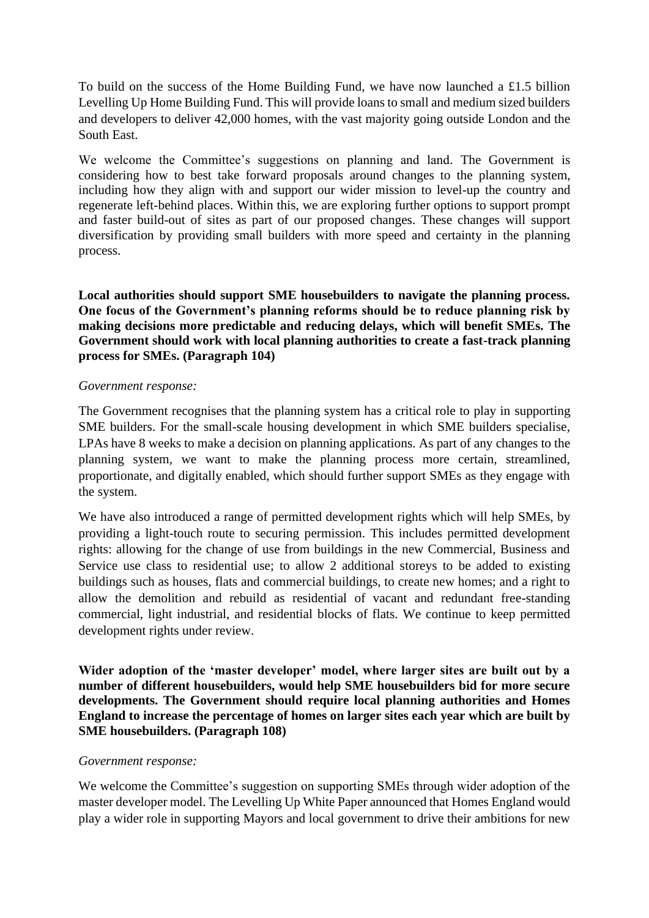To build on the success of the Home Building Fund, we have now launched a £1.5 billion Levelling Up Home Building Fund. This will provide loans to small and medium sized builders and developers to deliver 42,000 homes, with the vast majority going outside London and the South East.

We welcome the Committee's suggestions on planning and land. The Government is considering how to best take forward proposals around changes to the planning system, including how they align with and support our wider mission to level-up the country and regenerate left-behind places. Within this, we are exploring further options to support prompt and faster build-out of sites as part of our proposed changes. These changes will support diversification by providing small builders with more speed and certainty in the planning process.

**Local authorities should support SME housebuilders to navigate the planning process. One focus of the Government's planning reforms should be to reduce planning risk by making decisions more predictable and reducing delays, which will benefit SMEs. The Government should work with local planning authorities to create a fast-track planning process for SMEs. (Paragraph 104)**

#### *Government response:*

The Government recognises that the planning system has a critical role to play in supporting SME builders. For the small-scale housing development in which SME builders specialise, LPAs have 8 weeks to make a decision on planning applications. As part of any changes to the planning system, we want to make the planning process more certain, streamlined, proportionate, and digitally enabled, which should further support SMEs as they engage with the system.

We have also introduced a range of permitted development rights which will help SMEs, by providing a light-touch route to securing permission. This includes permitted development rights: allowing for the change of use from buildings in the new Commercial, Business and Service use class to residential use; to allow 2 additional storeys to be added to existing buildings such as houses, flats and commercial buildings, to create new homes; and a right to allow the demolition and rebuild as residential of vacant and redundant free-standing commercial, light industrial, and residential blocks of flats. We continue to keep permitted development rights under review.

**Wider adoption of the 'master developer' model, where larger sites are built out by a number of different housebuilders, would help SME housebuilders bid for more secure developments. The Government should require local planning authorities and Homes England to increase the percentage of homes on larger sites each year which are built by SME housebuilders. (Paragraph 108)**

#### *Government response:*

We welcome the Committee's suggestion on supporting SMEs through wider adoption of the master developer model. The Levelling Up White Paper announced that Homes England would play a wider role in supporting Mayors and local government to drive their ambitions for new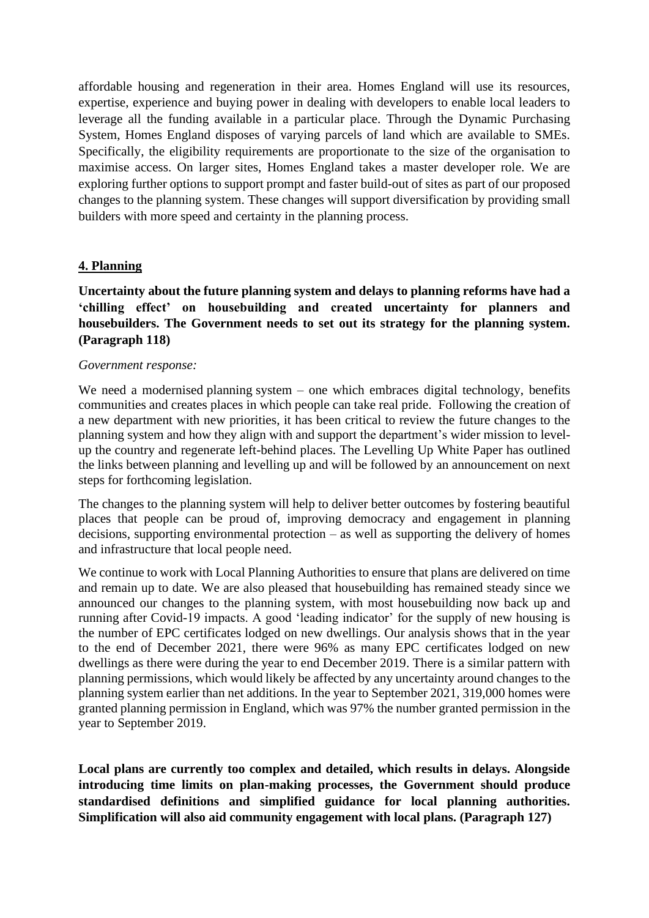affordable housing and regeneration in their area. Homes England will use its resources, expertise, experience and buying power in dealing with developers to enable local leaders to leverage all the funding available in a particular place. Through the Dynamic Purchasing System, Homes England disposes of varying parcels of land which are available to SMEs. Specifically, the eligibility requirements are proportionate to the size of the organisation to maximise access. On larger sites, Homes England takes a master developer role. We are exploring further options to support prompt and faster build-out of sites as part of our proposed changes to the planning system. These changes will support diversification by providing small builders with more speed and certainty in the planning process.

### **4. Planning**

**Uncertainty about the future planning system and delays to planning reforms have had a 'chilling effect' on housebuilding and created uncertainty for planners and housebuilders. The Government needs to set out its strategy for the planning system. (Paragraph 118)**

#### *Government response:*

We need a modernised planning system – one which embraces digital technology, benefits communities and creates places in which people can take real pride. Following the creation of a new department with new priorities, it has been critical to review the future changes to the planning system and how they align with and support the department's wider mission to levelup the country and regenerate left-behind places. The Levelling Up White Paper has outlined the links between planning and levelling up and will be followed by an announcement on next steps for forthcoming legislation.

The changes to the planning system will help to deliver better outcomes by fostering beautiful places that people can be proud of, improving democracy and engagement in planning decisions, supporting environmental protection – as well as supporting the delivery of homes and infrastructure that local people need.

We continue to work with Local Planning Authorities to ensure that plans are delivered on time and remain up to date. We are also pleased that housebuilding has remained steady since we announced our changes to the planning system, with most housebuilding now back up and running after Covid-19 impacts. A good 'leading indicator' for the supply of new housing is the number of EPC certificates lodged on new dwellings. Our analysis shows that in the year to the end of December 2021, there were 96% as many EPC certificates lodged on new dwellings as there were during the year to end December 2019. There is a similar pattern with planning permissions, which would likely be affected by any uncertainty around changes to the planning system earlier than net additions. In the year to September 2021, 319,000 homes were granted planning permission in England, which was 97% the number granted permission in the year to September 2019.

**Local plans are currently too complex and detailed, which results in delays. Alongside introducing time limits on plan-making processes, the Government should produce standardised definitions and simplified guidance for local planning authorities. Simplification will also aid community engagement with local plans. (Paragraph 127)**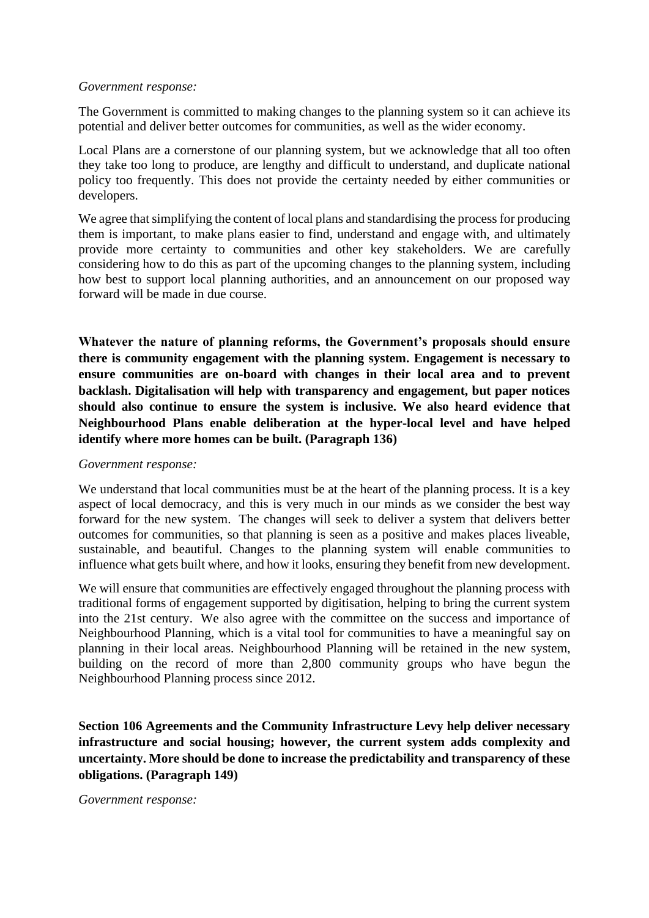#### *Government response:*

The Government is committed to making changes to the planning system so it can achieve its potential and deliver better outcomes for communities, as well as the wider economy.

Local Plans are a cornerstone of our planning system, but we acknowledge that all too often they take too long to produce, are lengthy and difficult to understand, and duplicate national policy too frequently. This does not provide the certainty needed by either communities or developers.

We agree that simplifying the content of local plans and standardising the process for producing them is important, to make plans easier to find, understand and engage with, and ultimately provide more certainty to communities and other key stakeholders. We are carefully considering how to do this as part of the upcoming changes to the planning system, including how best to support local planning authorities, and an announcement on our proposed way forward will be made in due course.

**Whatever the nature of planning reforms, the Government's proposals should ensure there is community engagement with the planning system. Engagement is necessary to ensure communities are on-board with changes in their local area and to prevent backlash. Digitalisation will help with transparency and engagement, but paper notices should also continue to ensure the system is inclusive. We also heard evidence that Neighbourhood Plans enable deliberation at the hyper-local level and have helped identify where more homes can be built. (Paragraph 136)**

#### *Government response:*

We understand that local communities must be at the heart of the planning process. It is a key aspect of local democracy, and this is very much in our minds as we consider the best way forward for the new system. The changes will seek to deliver a system that delivers better outcomes for communities, so that planning is seen as a positive and makes places liveable, sustainable, and beautiful. Changes to the planning system will enable communities to influence what gets built where, and how it looks, ensuring they benefit from new development.

We will ensure that communities are effectively engaged throughout the planning process with traditional forms of engagement supported by digitisation, helping to bring the current system into the 21st century. We also agree with the committee on the success and importance of Neighbourhood Planning, which is a vital tool for communities to have a meaningful say on planning in their local areas. Neighbourhood Planning will be retained in the new system, building on the record of more than 2,800 community groups who have begun the Neighbourhood Planning process since 2012.

**Section 106 Agreements and the Community Infrastructure Levy help deliver necessary infrastructure and social housing; however, the current system adds complexity and uncertainty. More should be done to increase the predictability and transparency of these obligations. (Paragraph 149)**

*Government response:*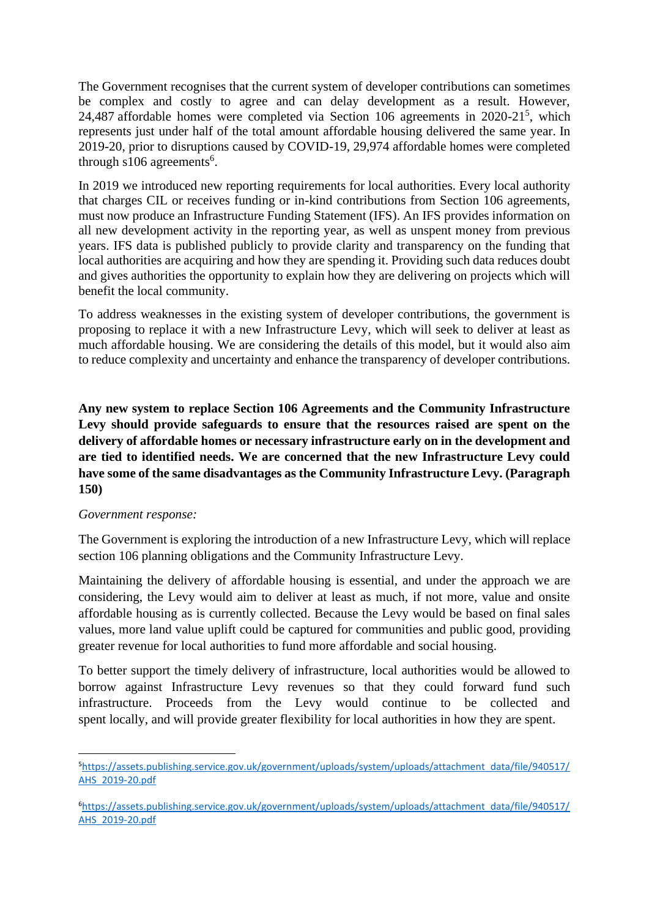The Government recognises that the current system of developer contributions can sometimes be complex and costly to agree and can delay development as a result. However, 24,487 affordable homes were completed via Section 106 agreements in  $2020-21^5$ , which represents just under half of the total amount affordable housing delivered the same year. In 2019-20, prior to disruptions caused by COVID-19, 29,974 affordable homes were completed through  $s106$  agreements<sup>6</sup>.

In 2019 we introduced new reporting requirements for local authorities. Every local authority that charges CIL or receives funding or in-kind contributions from Section 106 agreements, must now produce an Infrastructure Funding Statement (IFS). An IFS provides information on all new development activity in the reporting year, as well as unspent money from previous years. IFS data is published publicly to provide clarity and transparency on the funding that local authorities are acquiring and how they are spending it. Providing such data reduces doubt and gives authorities the opportunity to explain how they are delivering on projects which will benefit the local community.

To address weaknesses in the existing system of developer contributions, the government is proposing to replace it with a new Infrastructure Levy, which will seek to deliver at least as much affordable housing. We are considering the details of this model, but it would also aim to reduce complexity and uncertainty and enhance the transparency of developer contributions.

**Any new system to replace Section 106 Agreements and the Community Infrastructure Levy should provide safeguards to ensure that the resources raised are spent on the delivery of affordable homes or necessary infrastructure early on in the development and are tied to identified needs. We are concerned that the new Infrastructure Levy could have some of the same disadvantages as the Community Infrastructure Levy. (Paragraph 150)**

## *Government response:*

The Government is exploring the introduction of a new Infrastructure Levy, which will replace section 106 planning obligations and the Community Infrastructure Levy.

Maintaining the delivery of affordable housing is essential, and under the approach we are considering, the Levy would aim to deliver at least as much, if not more, value and onsite affordable housing as is currently collected. Because the Levy would be based on final sales values, more land value uplift could be captured for communities and public good, providing greater revenue for local authorities to fund more affordable and social housing.

To better support the timely delivery of infrastructure, local authorities would be allowed to borrow against Infrastructure Levy revenues so that they could forward fund such infrastructure. Proceeds from the Levy would continue to be collected and spent locally, and will provide greater flexibility for local authorities in how they are spent.

<sup>5</sup>[https://assets.publishing.service.gov.uk/government/uploads/system/uploads/attachment\\_data/file/940517/](https://assets.publishing.service.gov.uk/government/uploads/system/uploads/attachment_data/file/940517/AHS_2019-20.pdf) [AHS\\_2019-20.pdf](https://assets.publishing.service.gov.uk/government/uploads/system/uploads/attachment_data/file/940517/AHS_2019-20.pdf)

<sup>6</sup>[https://assets.publishing.service.gov.uk/government/uploads/system/uploads/attachment\\_data/file/940517/](https://assets.publishing.service.gov.uk/government/uploads/system/uploads/attachment_data/file/940517/AHS_2019-20.pdf) [AHS\\_2019-20.pdf](https://assets.publishing.service.gov.uk/government/uploads/system/uploads/attachment_data/file/940517/AHS_2019-20.pdf)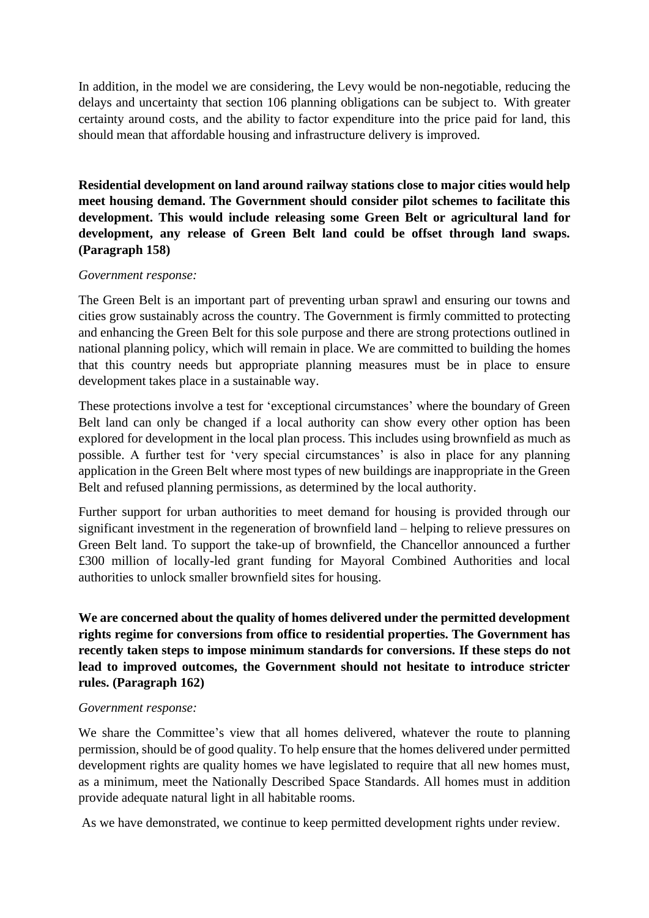In addition, in the model we are considering, the Levy would be non-negotiable, reducing the delays and uncertainty that section 106 planning obligations can be subject to. With greater certainty around costs, and the ability to factor expenditure into the price paid for land, this should mean that affordable housing and infrastructure delivery is improved.

**Residential development on land around railway stations close to major cities would help meet housing demand. The Government should consider pilot schemes to facilitate this development. This would include releasing some Green Belt or agricultural land for development, any release of Green Belt land could be offset through land swaps. (Paragraph 158)**

#### *Government response:*

The Green Belt is an important part of preventing urban sprawl and ensuring our towns and cities grow sustainably across the country. The Government is firmly committed to protecting and enhancing the Green Belt for this sole purpose and there are strong protections outlined in national planning policy, which will remain in place. We are committed to building the homes that this country needs but appropriate planning measures must be in place to ensure development takes place in a sustainable way.

These protections involve a test for 'exceptional circumstances' where the boundary of Green Belt land can only be changed if a local authority can show every other option has been explored for development in the local plan process. This includes using brownfield as much as possible. A further test for 'very special circumstances' is also in place for any planning application in the Green Belt where most types of new buildings are inappropriate in the Green Belt and refused planning permissions, as determined by the local authority.

Further support for urban authorities to meet demand for housing is provided through our significant investment in the regeneration of brownfield land – helping to relieve pressures on Green Belt land. To support the take-up of brownfield, the Chancellor announced a further £300 million of locally-led grant funding for Mayoral Combined Authorities and local authorities to unlock smaller brownfield sites for housing.

**We are concerned about the quality of homes delivered under the permitted development rights regime for conversions from office to residential properties. The Government has recently taken steps to impose minimum standards for conversions. If these steps do not lead to improved outcomes, the Government should not hesitate to introduce stricter rules. (Paragraph 162)** 

#### *Government response:*

We share the Committee's view that all homes delivered, whatever the route to planning permission, should be of good quality. To help ensure that the homes delivered under permitted development rights are quality homes we have legislated to require that all new homes must, as a minimum, meet the Nationally Described Space Standards. All homes must in addition provide adequate natural light in all habitable rooms.

As we have demonstrated, we continue to keep permitted development rights under review.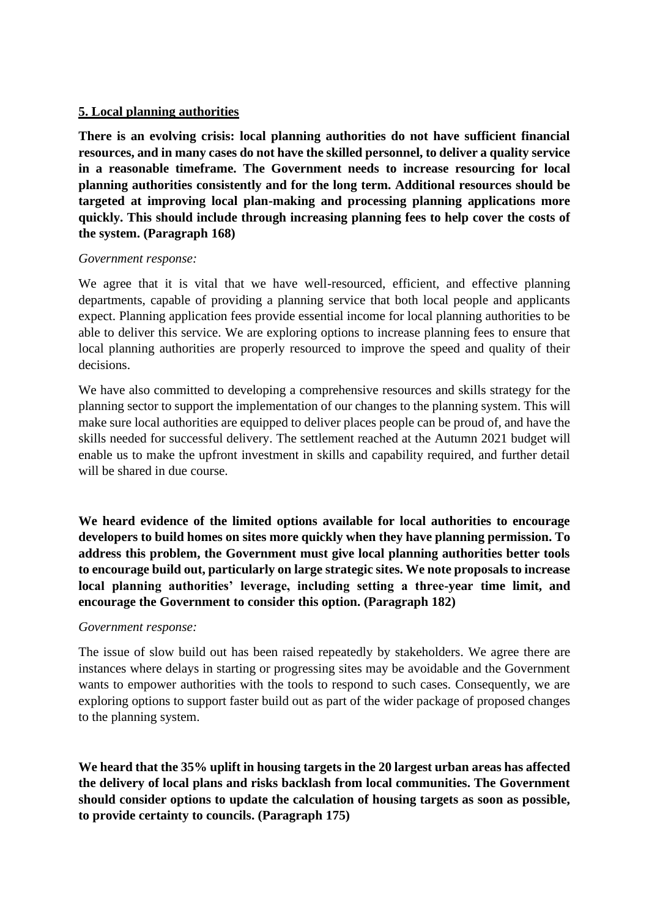## **5. Local planning authorities**

**There is an evolving crisis: local planning authorities do not have sufficient financial resources, and in many cases do not have the skilled personnel, to deliver a quality service in a reasonable timeframe. The Government needs to increase resourcing for local planning authorities consistently and for the long term. Additional resources should be targeted at improving local plan-making and processing planning applications more quickly. This should include through increasing planning fees to help cover the costs of the system. (Paragraph 168)**

### *Government response:*

We agree that it is vital that we have well-resourced, efficient, and effective planning departments, capable of providing a planning service that both local people and applicants expect. Planning application fees provide essential income for local planning authorities to be able to deliver this service. We are exploring options to increase planning fees to ensure that local planning authorities are properly resourced to improve the speed and quality of their decisions.

We have also committed to developing a comprehensive resources and skills strategy for the planning sector to support the implementation of our changes to the planning system. This will make sure local authorities are equipped to deliver places people can be proud of, and have the skills needed for successful delivery. The settlement reached at the Autumn 2021 budget will enable us to make the upfront investment in skills and capability required, and further detail will be shared in due course.

**We heard evidence of the limited options available for local authorities to encourage developers to build homes on sites more quickly when they have planning permission. To address this problem, the Government must give local planning authorities better tools to encourage build out, particularly on large strategic sites. We note proposals to increase local planning authorities' leverage, including setting a three-year time limit, and encourage the Government to consider this option. (Paragraph 182)**

## *Government response:*

The issue of slow build out has been raised repeatedly by stakeholders. We agree there are instances where delays in starting or progressing sites may be avoidable and the Government wants to empower authorities with the tools to respond to such cases. Consequently, we are exploring options to support faster build out as part of the wider package of proposed changes to the planning system.

**We heard that the 35% uplift in housing targets in the 20 largest urban areas has affected the delivery of local plans and risks backlash from local communities. The Government should consider options to update the calculation of housing targets as soon as possible, to provide certainty to councils. (Paragraph 175)**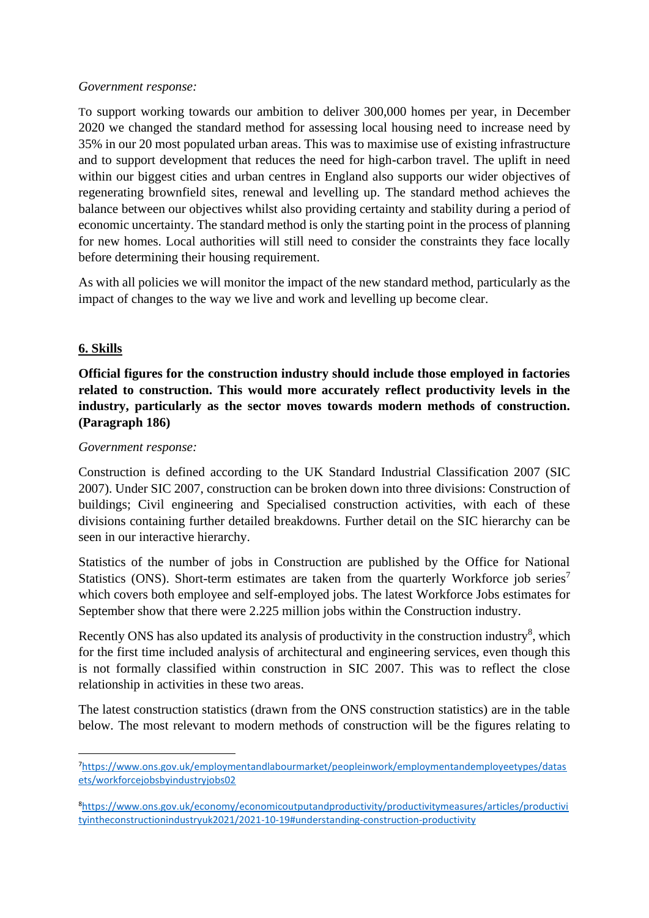#### *Government response:*

To support working towards our ambition to deliver 300,000 homes per year, in December 2020 we changed the standard method for assessing local housing need to increase need by 35% in our 20 most populated urban areas. This was to maximise use of existing infrastructure and to support development that reduces the need for high-carbon travel. The uplift in need within our biggest cities and urban centres in England also supports our wider objectives of regenerating brownfield sites, renewal and levelling up. The standard method achieves the balance between our objectives whilst also providing certainty and stability during a period of economic uncertainty. The standard method is only the starting point in the process of planning for new homes. Local authorities will still need to consider the constraints they face locally before determining their housing requirement.

As with all policies we will monitor the impact of the new standard method, particularly as the impact of changes to the way we live and work and levelling up become clear.

## **6. Skills**

# **Official figures for the construction industry should include those employed in factories related to construction. This would more accurately reflect productivity levels in the industry, particularly as the sector moves towards modern methods of construction. (Paragraph 186)**

### *Government response:*

Construction is defined according to the UK Standard Industrial Classification 2007 (SIC 2007). Under SIC 2007, construction can be broken down into three divisions: Construction of buildings; Civil engineering and Specialised construction activities, with each of these divisions containing further detailed breakdowns. Further detail on the SIC hierarchy can be seen in our interactive hierarchy.

Statistics of the number of jobs in Construction are published by the Office for National Statistics (ONS). Short-term estimates are taken from the quarterly Workforce job series<sup>7</sup> which covers both employee and self-employed jobs. The latest Workforce Jobs estimates for September show that there were 2.225 million jobs within the Construction industry.

Recently ONS has also updated its analysis of productivity in the construction industry<sup>8</sup>, which for the first time included analysis of architectural and engineering services, even though this is not formally classified within construction in SIC 2007. This was to reflect the close relationship in activities in these two areas.

The latest construction statistics (drawn from the ONS construction statistics) are in the table below. The most relevant to modern methods of construction will be the figures relating to

<sup>7</sup>[https://www.ons.gov.uk/employmentandlabourmarket/peopleinwork/employmentandemployeetypes/datas](https://www.ons.gov.uk/employmentandlabourmarket/peopleinwork/employmentandemployeetypes/datasets/workforcejobsbyindustryjobs02) [ets/workforcejobsbyindustryjobs02](https://www.ons.gov.uk/employmentandlabourmarket/peopleinwork/employmentandemployeetypes/datasets/workforcejobsbyindustryjobs02)

<sup>8</sup>[https://www.ons.gov.uk/economy/economicoutputandproductivity/productivitymeasures/articles/productivi](https://www.ons.gov.uk/economy/economicoutputandproductivity/productivitymeasures/articles/productivityintheconstructionindustryuk2021/2021-10-19#understanding-construction-productivity) [tyintheconstructionindustryuk2021/2021-10-19#understanding-construction-productivity](https://www.ons.gov.uk/economy/economicoutputandproductivity/productivitymeasures/articles/productivityintheconstructionindustryuk2021/2021-10-19#understanding-construction-productivity)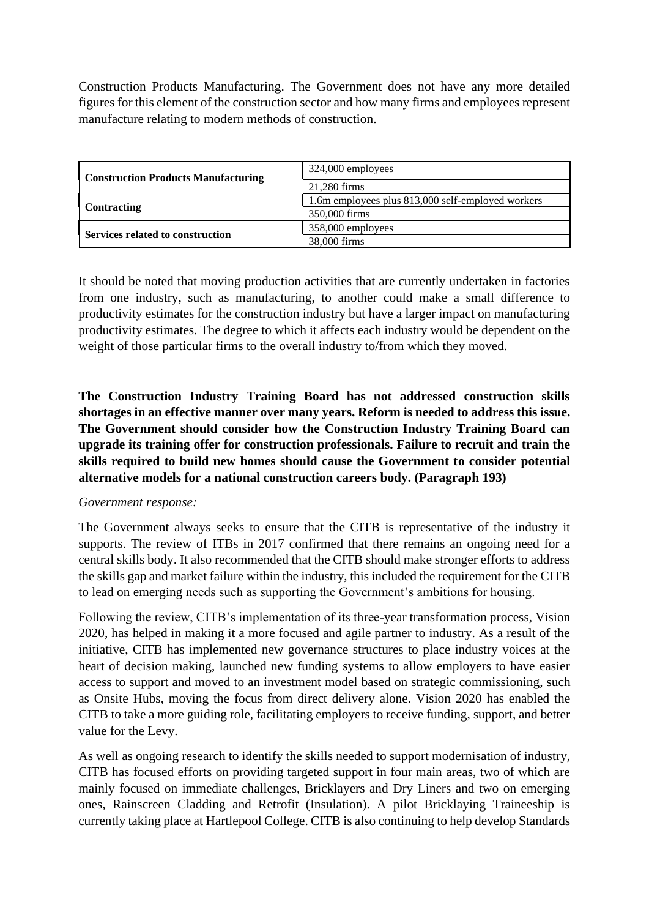Construction Products Manufacturing. The Government does not have any more detailed figures for this element of the construction sector and how many firms and employees represent manufacture relating to modern methods of construction.

| <b>Construction Products Manufacturing</b> | 324,000 employees                                 |
|--------------------------------------------|---------------------------------------------------|
|                                            | 21,280 firms                                      |
| <b>Contracting</b>                         | 1.6m employees plus 813,000 self-employed workers |
|                                            | 350,000 firms                                     |
| Services related to construction           | 358,000 employees                                 |
|                                            | 38,000 firms                                      |

It should be noted that moving production activities that are currently undertaken in factories from one industry, such as manufacturing, to another could make a small difference to productivity estimates for the construction industry but have a larger impact on manufacturing productivity estimates. The degree to which it affects each industry would be dependent on the weight of those particular firms to the overall industry to/from which they moved.

**The Construction Industry Training Board has not addressed construction skills shortages in an effective manner over many years. Reform is needed to address this issue. The Government should consider how the Construction Industry Training Board can upgrade its training offer for construction professionals. Failure to recruit and train the skills required to build new homes should cause the Government to consider potential alternative models for a national construction careers body. (Paragraph 193)**

## *Government response:*

The Government always seeks to ensure that the CITB is representative of the industry it supports. The review of ITBs in 2017 confirmed that there remains an ongoing need for a central skills body. It also recommended that the CITB should make stronger efforts to address the skills gap and market failure within the industry, this included the requirement for the CITB to lead on emerging needs such as supporting the Government's ambitions for housing.

Following the review, CITB's implementation of its three-year transformation process, Vision 2020, has helped in making it a more focused and agile partner to industry. As a result of the initiative, CITB has implemented new governance structures to place industry voices at the heart of decision making, launched new funding systems to allow employers to have easier access to support and moved to an investment model based on strategic commissioning, such as Onsite Hubs, moving the focus from direct delivery alone. Vision 2020 has enabled the CITB to take a more guiding role, facilitating employers to receive funding, support, and better value for the Levy.

As well as ongoing research to identify the skills needed to support modernisation of industry, CITB has focused efforts on providing targeted support in four main areas, two of which are mainly focused on immediate challenges, Bricklayers and Dry Liners and two on emerging ones, Rainscreen Cladding and Retrofit (Insulation). A pilot Bricklaying Traineeship is currently taking place at Hartlepool College. CITB is also continuing to help develop Standards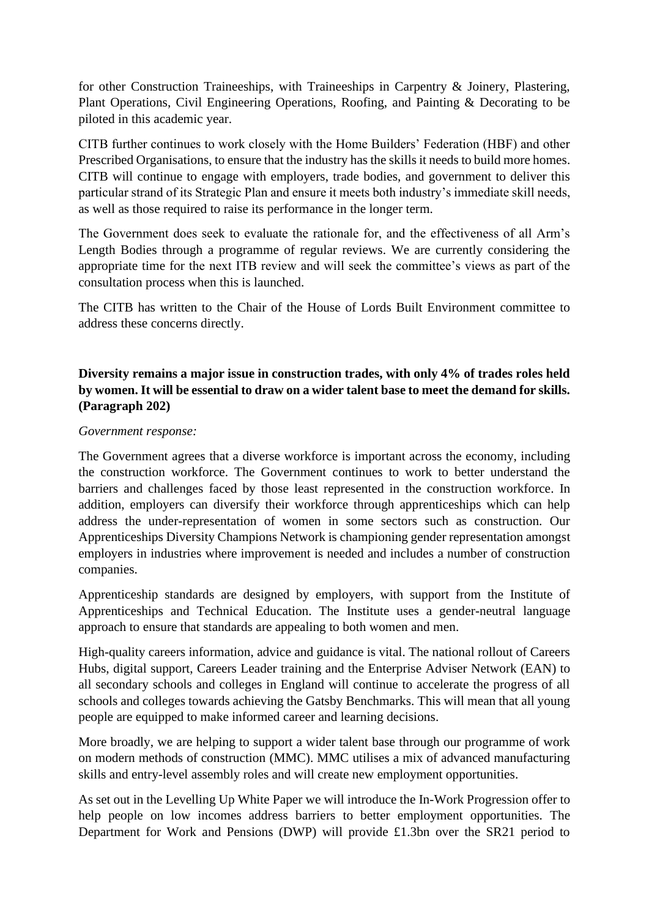for other Construction Traineeships, with Traineeships in Carpentry & Joinery, Plastering, Plant Operations, Civil Engineering Operations, Roofing, and Painting & Decorating to be piloted in this academic year.

CITB further continues to work closely with the Home Builders' Federation (HBF) and other Prescribed Organisations, to ensure that the industry has the skills it needs to build more homes. CITB will continue to engage with employers, trade bodies, and government to deliver this particular strand of its Strategic Plan and ensure it meets both industry's immediate skill needs, as well as those required to raise its performance in the longer term.

The Government does seek to evaluate the rationale for, and the effectiveness of all Arm's Length Bodies through a programme of regular reviews. We are currently considering the appropriate time for the next ITB review and will seek the committee's views as part of the consultation process when this is launched.

The CITB has written to the Chair of the House of Lords Built Environment committee to address these concerns directly.

# **Diversity remains a major issue in construction trades, with only 4% of trades roles held by women. It will be essential to draw on a wider talent base to meet the demand for skills. (Paragraph 202)**

#### *Government response:*

The Government agrees that a diverse workforce is important across the economy, including the construction workforce. The Government continues to work to better understand the barriers and challenges faced by those least represented in the construction workforce. In addition, employers can diversify their workforce through apprenticeships which can help address the under-representation of women in some sectors such as construction. Our Apprenticeships Diversity Champions Network is championing gender representation amongst employers in industries where improvement is needed and includes a number of construction companies.

Apprenticeship standards are designed by employers, with support from the Institute of Apprenticeships and Technical Education. The Institute uses a gender-neutral language approach to ensure that standards are appealing to both women and men.

High-quality careers information, advice and guidance is vital. The national rollout of Careers Hubs, digital support, Careers Leader training and the Enterprise Adviser Network (EAN) to all secondary schools and colleges in England will continue to accelerate the progress of all schools and colleges towards achieving the Gatsby Benchmarks. This will mean that all young people are equipped to make informed career and learning decisions.

More broadly, we are helping to support a wider talent base through our programme of work on modern methods of construction (MMC). MMC utilises a mix of advanced manufacturing skills and entry-level assembly roles and will create new employment opportunities.

As set out in the Levelling Up White Paper we will introduce the In-Work Progression offer to help people on low incomes address barriers to better employment opportunities. The Department for Work and Pensions (DWP) will provide £1.3bn over the SR21 period to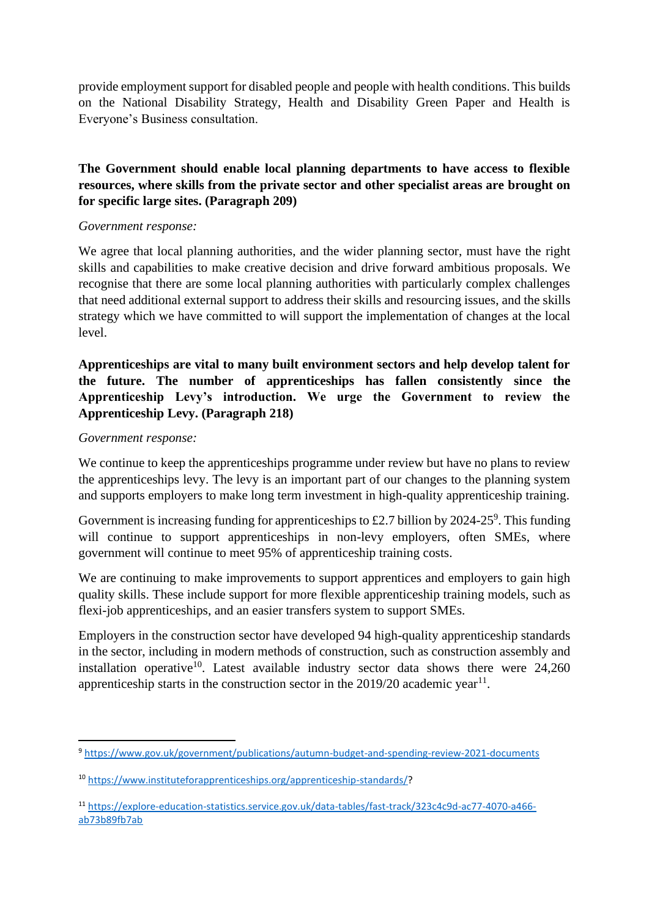provide employment support for disabled people and people with health conditions. This builds on the National Disability Strategy, Health and Disability Green Paper and Health is Everyone's Business consultation.

# **The Government should enable local planning departments to have access to flexible resources, where skills from the private sector and other specialist areas are brought on for specific large sites. (Paragraph 209)**

### *Government response:*

We agree that local planning authorities, and the wider planning sector, must have the right skills and capabilities to make creative decision and drive forward ambitious proposals. We recognise that there are some local planning authorities with particularly complex challenges that need additional external support to address their skills and resourcing issues, and the skills strategy which we have committed to will support the implementation of changes at the local level.

# **Apprenticeships are vital to many built environment sectors and help develop talent for the future. The number of apprenticeships has fallen consistently since the Apprenticeship Levy's introduction. We urge the Government to review the Apprenticeship Levy. (Paragraph 218)**

### *Government response:*

We continue to keep the apprenticeships programme under review but have no plans to review the apprenticeships levy. The levy is an important part of our changes to the planning system and supports employers to make long term investment in high-quality apprenticeship training.

Government is increasing funding for apprenticeships to £2.7 billion by 2024-25<sup>9</sup>. This funding will continue to support apprenticeships in non-levy employers, often SMEs, where government will continue to meet 95% of apprenticeship training costs.

We are continuing to make improvements to support apprentices and employers to gain high quality skills. These include support for more flexible apprenticeship training models, such as flexi-job apprenticeships, and an easier transfers system to support SMEs.

Employers in the construction sector have developed 94 high-quality apprenticeship standards in the sector, including in modern methods of construction, such as construction assembly and installation operative<sup>10</sup>. Latest available industry sector data shows there were  $24,260$ apprenticeship starts in the construction sector in the  $2019/20$  academic year<sup>11</sup>.

<sup>9</sup> <https://www.gov.uk/government/publications/autumn-budget-and-spending-review-2021-documents>

<sup>10</sup> [https://www.instituteforapprenticeships.org/apprenticeship-standards/?](https://www.instituteforapprenticeships.org/apprenticeship-standards/)

<sup>11</sup> [https://explore-education-statistics.service.gov.uk/data-tables/fast-track/323c4c9d-ac77-4070-a466](https://explore-education-statistics.service.gov.uk/data-tables/fast-track/323c4c9d-ac77-4070-a466-ab73b89fb7ab) [ab73b89fb7ab](https://explore-education-statistics.service.gov.uk/data-tables/fast-track/323c4c9d-ac77-4070-a466-ab73b89fb7ab)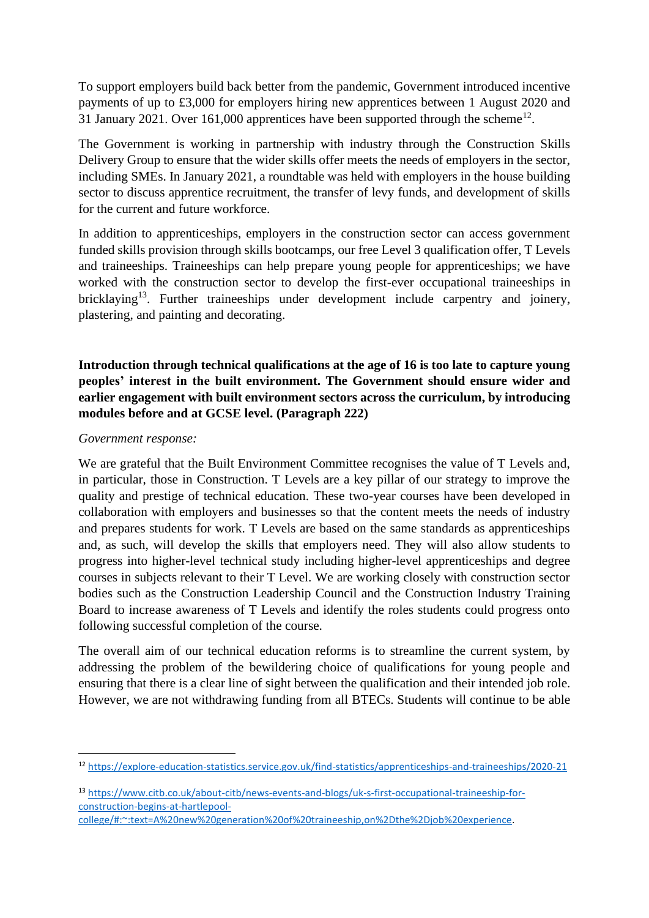To support employers build back better from the pandemic, Government introduced incentive payments of up to £3,000 for employers hiring new apprentices between 1 August 2020 and 31 January 2021. Over 161,000 apprentices have been supported through the scheme<sup>12</sup>.

The Government is working in partnership with industry through the Construction Skills Delivery Group to ensure that the wider skills offer meets the needs of employers in the sector, including SMEs. In January 2021, a roundtable was held with employers in the house building sector to discuss apprentice recruitment, the transfer of levy funds, and development of skills for the current and future workforce.

In addition to apprenticeships, employers in the construction sector can access government funded skills provision through skills bootcamps, our free Level 3 qualification offer, T Levels and traineeships. Traineeships can help prepare young people for apprenticeships; we have worked with the construction sector to develop the first-ever occupational traineeships in bricklaying<sup>13</sup>. Further traineeships under development include carpentry and joinery, plastering, and painting and decorating.

# **Introduction through technical qualifications at the age of 16 is too late to capture young peoples' interest in the built environment. The Government should ensure wider and earlier engagement with built environment sectors across the curriculum, by introducing modules before and at GCSE level. (Paragraph 222)**

### *Government response:*

We are grateful that the Built Environment Committee recognises the value of T Levels and, in particular, those in Construction. T Levels are a key pillar of our strategy to improve the quality and prestige of technical education. These two-year courses have been developed in collaboration with employers and businesses so that the content meets the needs of industry and prepares students for work. T Levels are based on the same standards as apprenticeships and, as such, will develop the skills that employers need. They will also allow students to progress into higher-level technical study including higher-level apprenticeships and degree courses in subjects relevant to their T Level. We are working closely with construction sector bodies such as the Construction Leadership Council and the Construction Industry Training Board to increase awareness of T Levels and identify the roles students could progress onto following successful completion of the course.

The overall aim of our technical education reforms is to streamline the current system, by addressing the problem of the bewildering choice of qualifications for young people and ensuring that there is a clear line of sight between the qualification and their intended job role. However, we are not withdrawing funding from all BTECs. Students will continue to be able

<sup>12</sup> <https://explore-education-statistics.service.gov.uk/find-statistics/apprenticeships-and-traineeships/2020-21>

<sup>13</sup> [https://www.citb.co.uk/about-citb/news-events-and-blogs/uk-s-first-occupational-traineeship-for](https://www.citb.co.uk/about-citb/news-events-and-blogs/uk-s-first-occupational-traineeship-for-construction-begins-at-hartlepool-college/#:~:text=A%20new%20generation%20of%20traineeship,on%2Dthe%2Djob%20experience)[construction-begins-at-hartlepool-](https://www.citb.co.uk/about-citb/news-events-and-blogs/uk-s-first-occupational-traineeship-for-construction-begins-at-hartlepool-college/#:~:text=A%20new%20generation%20of%20traineeship,on%2Dthe%2Djob%20experience)

[college/#:~:text=A%20new%20generation%20of%20traineeship,on%2Dthe%2Djob%20experience.](https://www.citb.co.uk/about-citb/news-events-and-blogs/uk-s-first-occupational-traineeship-for-construction-begins-at-hartlepool-college/#:~:text=A%20new%20generation%20of%20traineeship,on%2Dthe%2Djob%20experience)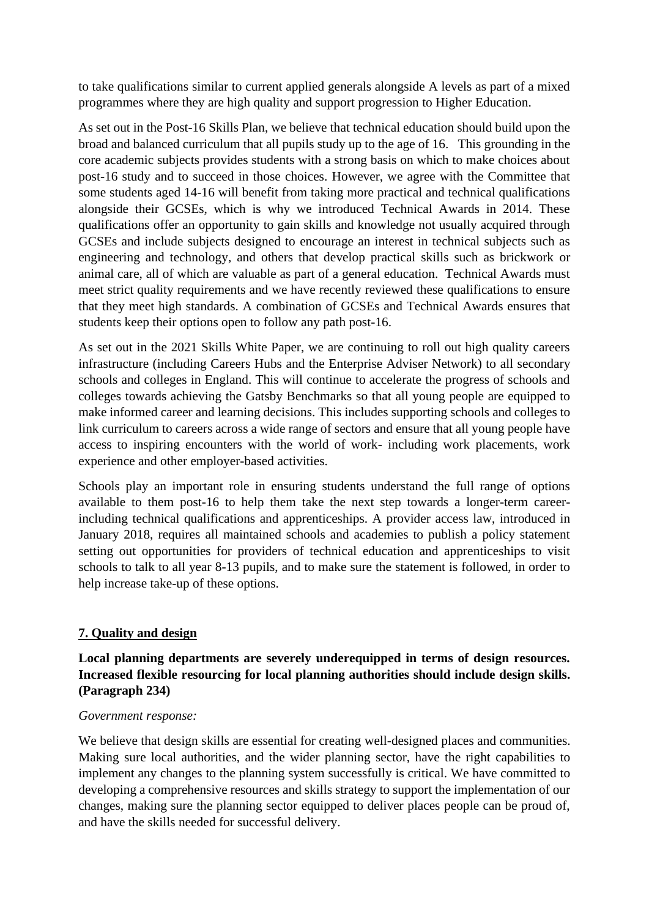to take qualifications similar to current applied generals alongside A levels as part of a mixed programmes where they are high quality and support progression to Higher Education.

As set out in the Post-16 Skills Plan, we believe that technical education should build upon the broad and balanced curriculum that all pupils study up to the age of 16. This grounding in the core academic subjects provides students with a strong basis on which to make choices about post-16 study and to succeed in those choices. However, we agree with the Committee that some students aged 14-16 will benefit from taking more practical and technical qualifications alongside their GCSEs, which is why we introduced Technical Awards in 2014. These qualifications offer an opportunity to gain skills and knowledge not usually acquired through GCSEs and include subjects designed to encourage an interest in technical subjects such as engineering and technology, and others that develop practical skills such as brickwork or animal care, all of which are valuable as part of a general education. Technical Awards must meet strict quality requirements and we have recently reviewed these qualifications to ensure that they meet high standards. A combination of GCSEs and Technical Awards ensures that students keep their options open to follow any path post-16.

As set out in the 2021 Skills White Paper, we are continuing to roll out high quality careers infrastructure (including Careers Hubs and the Enterprise Adviser Network) to all secondary schools and colleges in England. This will continue to accelerate the progress of schools and colleges towards achieving the Gatsby Benchmarks so that all young people are equipped to make informed career and learning decisions. This includes supporting schools and colleges to link curriculum to careers across a wide range of sectors and ensure that all young people have access to inspiring encounters with the world of work- including work placements, work experience and other employer-based activities.

Schools play an important role in ensuring students understand the full range of options available to them post-16 to help them take the next step towards a longer-term careerincluding technical qualifications and apprenticeships. A provider access law, introduced in January 2018, requires all maintained schools and academies to publish a policy statement setting out opportunities for providers of technical education and apprenticeships to visit schools to talk to all year 8-13 pupils, and to make sure the statement is followed, in order to help increase take-up of these options.

# **7. Quality and design**

**Local planning departments are severely underequipped in terms of design resources. Increased flexible resourcing for local planning authorities should include design skills. (Paragraph 234)**

## *Government response:*

We believe that design skills are essential for creating well-designed places and communities. Making sure local authorities, and the wider planning sector, have the right capabilities to implement any changes to the planning system successfully is critical. We have committed to developing a comprehensive resources and skills strategy to support the implementation of our changes, making sure the planning sector equipped to deliver places people can be proud of, and have the skills needed for successful delivery.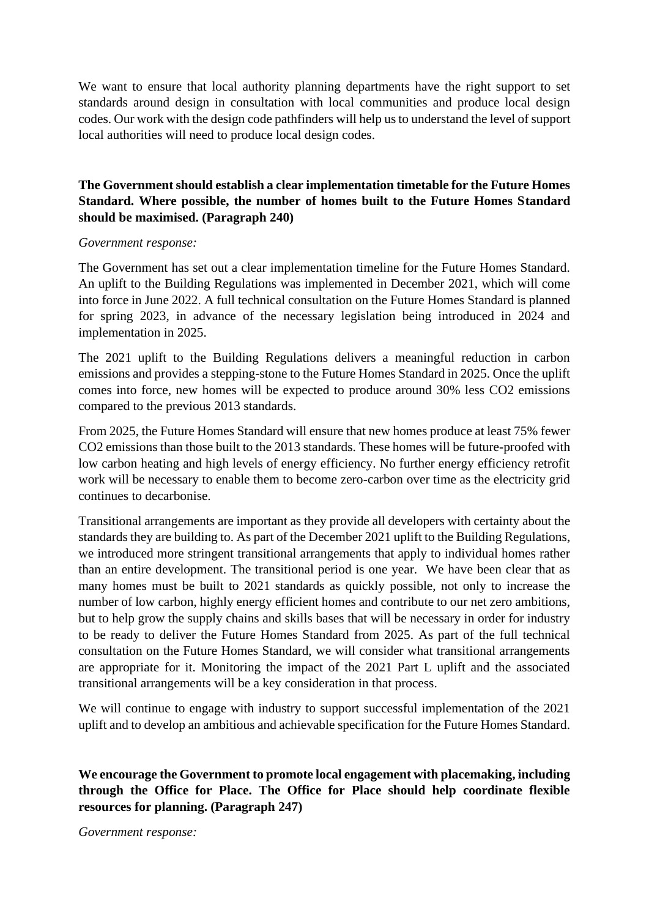We want to ensure that local authority planning departments have the right support to set standards around design in consultation with local communities and produce local design codes. Our work with the design code pathfinders will help us to understand the level of support local authorities will need to produce local design codes.

## **The Government should establish a clear implementation timetable for the Future Homes Standard. Where possible, the number of homes built to the Future Homes Standard should be maximised. (Paragraph 240)**

#### *Government response:*

The Government has set out a clear implementation timeline for the Future Homes Standard. An uplift to the Building Regulations was implemented in December 2021, which will come into force in June 2022. A full technical consultation on the Future Homes Standard is planned for spring 2023, in advance of the necessary legislation being introduced in 2024 and implementation in 2025.

The 2021 uplift to the Building Regulations delivers a meaningful reduction in carbon emissions and provides a stepping-stone to the Future Homes Standard in 2025. Once the uplift comes into force, new homes will be expected to produce around 30% less CO2 emissions compared to the previous 2013 standards.

From 2025, the Future Homes Standard will ensure that new homes produce at least 75% fewer CO2 emissions than those built to the 2013 standards. These homes will be future-proofed with low carbon heating and high levels of energy efficiency. No further energy efficiency retrofit work will be necessary to enable them to become zero-carbon over time as the electricity grid continues to decarbonise.

Transitional arrangements are important as they provide all developers with certainty about the standards they are building to. As part of the December 2021 uplift to the Building Regulations, we introduced more stringent transitional arrangements that apply to individual homes rather than an entire development. The transitional period is one year. We have been clear that as many homes must be built to 2021 standards as quickly possible, not only to increase the number of low carbon, highly energy efficient homes and contribute to our net zero ambitions, but to help grow the supply chains and skills bases that will be necessary in order for industry to be ready to deliver the Future Homes Standard from 2025. As part of the full technical consultation on the Future Homes Standard, we will consider what transitional arrangements are appropriate for it. Monitoring the impact of the 2021 Part L uplift and the associated transitional arrangements will be a key consideration in that process.

We will continue to engage with industry to support successful implementation of the 2021 uplift and to develop an ambitious and achievable specification for the Future Homes Standard.

**We encourage the Government to promote local engagement with placemaking, including through the Office for Place. The Office for Place should help coordinate flexible resources for planning. (Paragraph 247)**

*Government response:*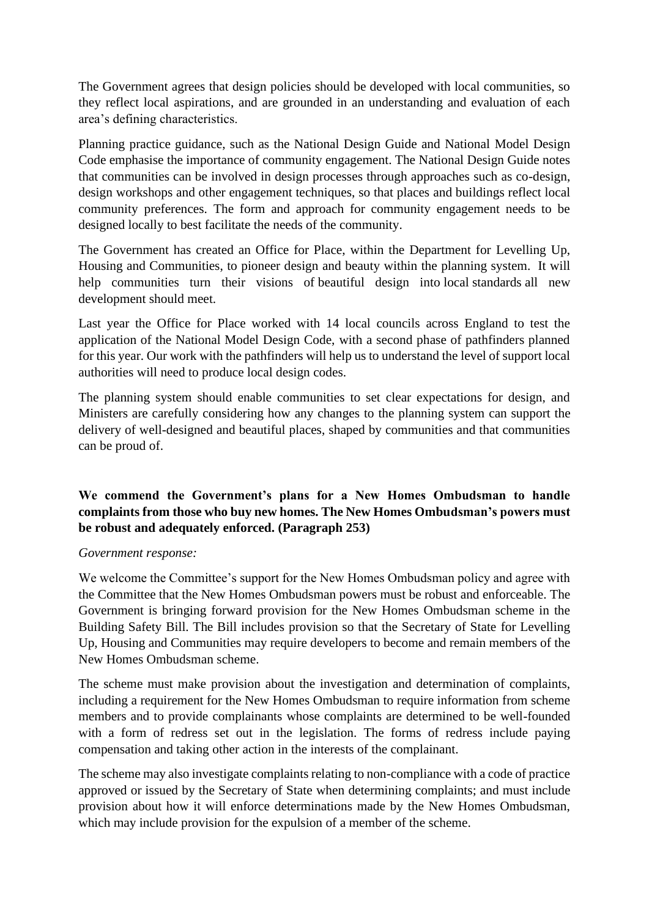The Government agrees that design policies should be developed with local communities, so they reflect local aspirations, and are grounded in an understanding and evaluation of each area's defining characteristics.

Planning practice guidance, such as the National Design Guide and National Model Design Code emphasise the importance of community engagement. The National Design Guide notes that communities can be involved in design processes through approaches such as co-design, design workshops and other engagement techniques, so that places and buildings reflect local community preferences. The form and approach for community engagement needs to be designed locally to best facilitate the needs of the community.

The Government has created an Office for Place, within the Department for Levelling Up, Housing and Communities, to pioneer design and beauty within the planning system. It will help communities turn their visions of beautiful design into local standards all new development should meet.

Last year the Office for Place worked with 14 local councils across England to test the application of the National Model Design Code, with a second phase of pathfinders planned for this year. Our work with the pathfinders will help us to understand the level of support local authorities will need to produce local design codes.

The planning system should enable communities to set clear expectations for design, and Ministers are carefully considering how any changes to the planning system can support the delivery of well-designed and beautiful places, shaped by communities and that communities can be proud of.

# **We commend the Government's plans for a New Homes Ombudsman to handle complaints from those who buy new homes. The New Homes Ombudsman's powers must be robust and adequately enforced. (Paragraph 253)**

#### *Government response:*

We welcome the Committee's support for the New Homes Ombudsman policy and agree with the Committee that the New Homes Ombudsman powers must be robust and enforceable. The Government is bringing forward provision for the New Homes Ombudsman scheme in the Building Safety Bill. The Bill includes provision so that the Secretary of State for Levelling Up, Housing and Communities may require developers to become and remain members of the New Homes Ombudsman scheme.

The scheme must make provision about the investigation and determination of complaints, including a requirement for the New Homes Ombudsman to require information from scheme members and to provide complainants whose complaints are determined to be well-founded with a form of redress set out in the legislation. The forms of redress include paying compensation and taking other action in the interests of the complainant.

The scheme may also investigate complaints relating to non-compliance with a code of practice approved or issued by the Secretary of State when determining complaints; and must include provision about how it will enforce determinations made by the New Homes Ombudsman, which may include provision for the expulsion of a member of the scheme.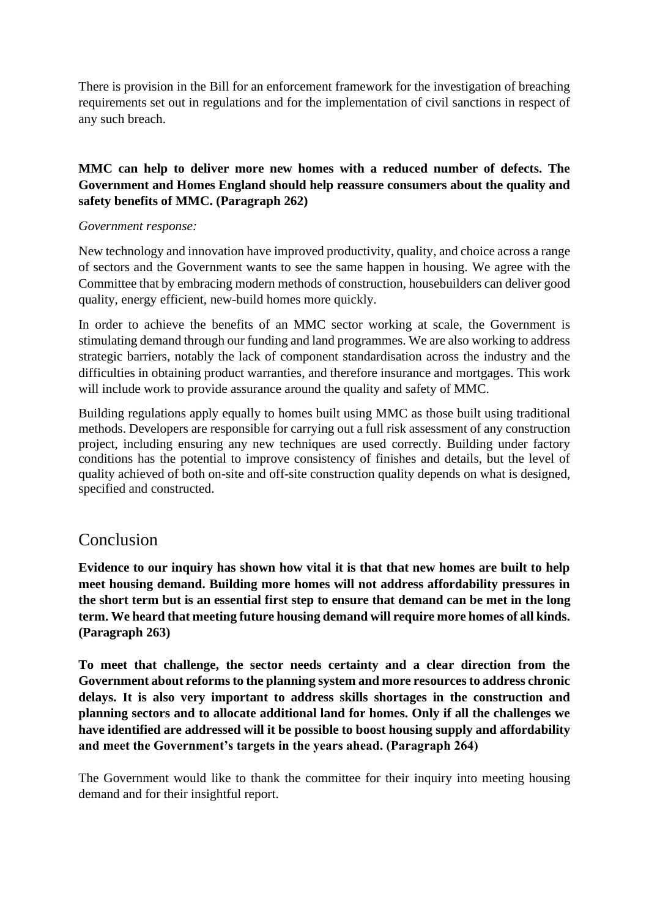There is provision in the Bill for an enforcement framework for the investigation of breaching requirements set out in regulations and for the implementation of civil sanctions in respect of any such breach.

# **MMC can help to deliver more new homes with a reduced number of defects. The Government and Homes England should help reassure consumers about the quality and safety benefits of MMC. (Paragraph 262)**

### *Government response:*

New technology and innovation have improved productivity, quality, and choice across a range of sectors and the Government wants to see the same happen in housing. We agree with the Committee that by embracing modern methods of construction, housebuilders can deliver good quality, energy efficient, new-build homes more quickly.

In order to achieve the benefits of an MMC sector working at scale, the Government is stimulating demand through our funding and land programmes. We are also working to address strategic barriers, notably the lack of component standardisation across the industry and the difficulties in obtaining product warranties, and therefore insurance and mortgages. This work will include work to provide assurance around the quality and safety of MMC.

Building regulations apply equally to homes built using MMC as those built using traditional methods. Developers are responsible for carrying out a full risk assessment of any construction project, including ensuring any new techniques are used correctly. Building under factory conditions has the potential to improve consistency of finishes and details, but the level of quality achieved of both on-site and off-site construction quality depends on what is designed, specified and constructed.

# Conclusion

**Evidence to our inquiry has shown how vital it is that that new homes are built to help meet housing demand. Building more homes will not address affordability pressures in the short term but is an essential first step to ensure that demand can be met in the long term. We heard that meeting future housing demand will require more homes of all kinds. (Paragraph 263)**

**To meet that challenge, the sector needs certainty and a clear direction from the Government about reforms to the planning system and more resources to address chronic delays. It is also very important to address skills shortages in the construction and planning sectors and to allocate additional land for homes. Only if all the challenges we have identified are addressed will it be possible to boost housing supply and affordability and meet the Government's targets in the years ahead. (Paragraph 264)**

The Government would like to thank the committee for their inquiry into meeting housing demand and for their insightful report.